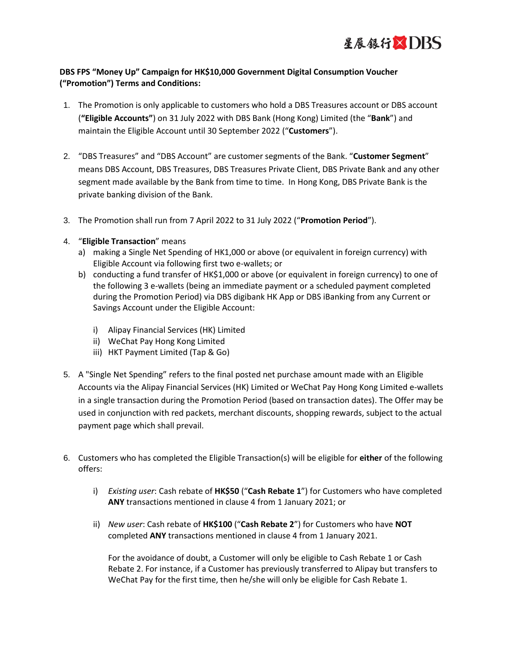

## **DBS FPS "Money Up" Campaign for HK\$10,000 Government Digital Consumption Voucher ("Promotion") Terms and Conditions:**

- 1. The Promotion is only applicable to customers who hold a DBS Treasures account or DBS account (**"Eligible Accounts"**) on 31 July 2022 with DBS Bank (Hong Kong) Limited (the "**Bank**") and maintain the Eligible Account until 30 September 2022 ("**Customers**").
- 2. "DBS Treasures" and "DBS Account" are customer segments of the Bank. "**Customer Segment**" means DBS Account, DBS Treasures, DBS Treasures Private Client, DBS Private Bank and any other segment made available by the Bank from time to time. In Hong Kong, DBS Private Bank is the private banking division of the Bank.
- 3. The Promotion shall run from 7 April 2022 to 31 July 2022 ("**Promotion Period**").
- 4. "**Eligible Transaction**" means
	- a) making a Single Net Spending of HK1,000 or above (or equivalent in foreign currency) with Eligible Account via following first two e-wallets; or
	- b) conducting a fund transfer of HK\$1,000 or above (or equivalent in foreign currency) to one of the following 3 e-wallets (being an immediate payment or a scheduled payment completed during the Promotion Period) via DBS digibank HK App or DBS iBanking from any Current or Savings Account under the Eligible Account:
		- i) Alipay Financial Services (HK) Limited
		- ii) WeChat Pay Hong Kong Limited
		- iii) HKT Payment Limited (Tap & Go)
- 5. A "Single Net Spending" refers to the final posted net purchase amount made with an Eligible Accounts via the Alipay Financial Services (HK) Limited or WeChat Pay Hong Kong Limited e-wallets in a single transaction during the Promotion Period (based on transaction dates). The Offer may be used in conjunction with red packets, merchant discounts, shopping rewards, subject to the actual payment page which shall prevail.
- 6. Customers who has completed the Eligible Transaction(s) will be eligible for **either** of the following offers:
	- i) *Existing user*: Cash rebate of **HK\$50** ("**Cash Rebate 1**") for Customers who have completed **ANY** transactions mentioned in clause 4 from 1 January 2021; or
	- ii) *New user*: Cash rebate of **HK\$100** ("**Cash Rebate 2**") for Customers who have **NOT** completed **ANY** transactions mentioned in clause 4 from 1 January 2021.

For the avoidance of doubt, a Customer will only be eligible to Cash Rebate 1 or Cash Rebate 2. For instance, if a Customer has previously transferred to Alipay but transfers to WeChat Pay for the first time, then he/she will only be eligible for Cash Rebate 1.